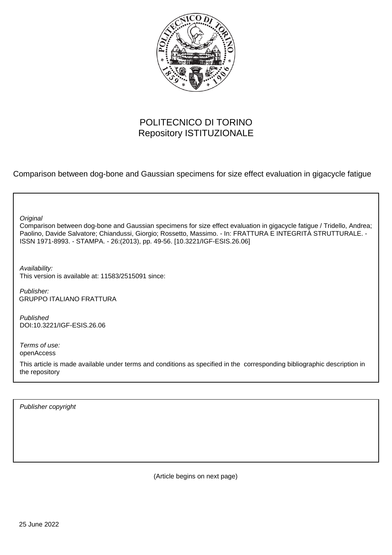

## POLITECNICO DI TORINO Repository ISTITUZIONALE

Comparison between dog-bone and Gaussian specimens for size effect evaluation in gigacycle fatigue

**Original** 

Comparison between dog-bone and Gaussian specimens for size effect evaluation in gigacycle fatigue / Tridello, Andrea; Paolino, Davide Salvatore; Chiandussi, Giorgio; Rossetto, Massimo. - In: FRATTURA E INTEGRITÀ STRUTTURALE. - ISSN 1971-8993. - STAMPA. - 26:(2013), pp. 49-56. [10.3221/IGF-ESIS.26.06]

Availability: This version is available at: 11583/2515091 since:

Publisher: GRUPPO ITALIANO FRATTURA

Published DOI:10.3221/IGF-ESIS.26.06

Terms of use: openAccess

This article is made available under terms and conditions as specified in the corresponding bibliographic description in the repository

Publisher copyright

(Article begins on next page)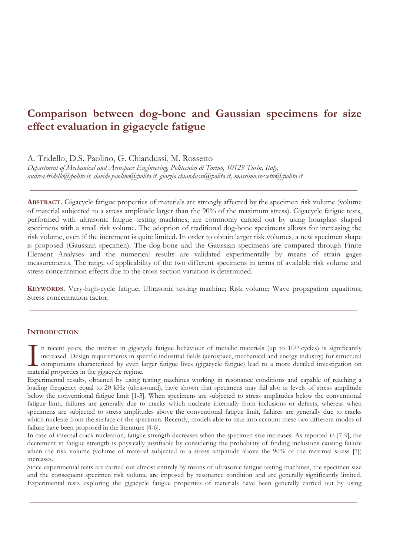# **Comparison between dog-bone and Gaussian specimens for size effect evaluation in gigacycle fatigue**

A. Tridello, D.S. Paolino, G. Chiandussi, M. Rossetto

*Department of Mechanical and Aerospace Engineering, Politecnico di Torino, 10129 Turin, Italy, andrea.tridello@polito.it, davide.paolino@polito.it, giorgio.chiandussi@polito.it, massimo.rossetto@polito.it* 

**ABSTRACT.** Gigacycle fatigue properties of materials are strongly affected by the specimen risk volume (volume of material subjected to a stress amplitude larger than the 90% of the maximum stress). Gigacycle fatigue tests, performed with ultrasonic fatigue testing machines, are commonly carried out by using hourglass shaped specimens with a small risk volume. The adoption of traditional dog-bone specimens allows for increasing the risk volume, even if the increment is quite limited. In order to obtain larger risk volumes, a new specimen shape is proposed (Gaussian specimen). The dog-bone and the Gaussian specimens are compared through Finite Element Analyses and the numerical results are validated experimentally by means of strain gages measurements. The range of applicability of the two different specimens in terms of available risk volume and stress concentration effects due to the cross section variation is determined.

**KEYWORDS.** Very-high-cycle fatigue; Ultrasonic testing machine; Risk volume; Wave propagation equations; Stress concentration factor.

## **INTRODUCTION**

n recent years, the interest in gigacycle fatigue behaviour of metallic materials (up to 1010 cycles) is significantly increased. Design requirements in specific industrial fields (aerospace, mechanical and energy industry) for structural **L** components characterized by even larger fatigue lives (gigacycle fatigue) lead to a more detailed investigation on In recent years, the interest in gigacy<br>increased. Design requirements in spe<br>components characterized by even la<br>material properties in the gigacycle regime.

Experimental results, obtained by using testing machines working in resonance conditions and capable of reaching a loading frequency equal to 20 kHz (ultrasound), have shown that specimens may fail also at levels of stress amplitude below the conventional fatigue limit [1-3]. When specimens are subjected to stress amplitudes below the conventional fatigue limit, failures are generally due to cracks which nucleate internally from inclusions or defects; whereas when specimens are subjected to stress amplitudes above the conventional fatigue limit, failures are generally due to cracks which nucleate from the surface of the specimen. Recently, models able to take into account these two different modes of failure have been proposed in the literature [4-6].

In case of internal crack nucleation, fatigue strength decreases when the specimen size increases. As reported in [7-9], the decrement in fatigue strength is physically justifiable by considering the probability of finding inclusions causing failure when the risk volume (volume of material subjected to a stress amplitude above the 90% of the maximal stress [7]) increases.

Since experimental tests are carried out almost entirely by means of ultrasonic fatigue testing machines, the specimen size and the consequent specimen risk volume are imposed by resonance condition and are generally significantly limited. Experimental tests exploring the gigacycle fatigue properties of materials have been generally carried out by using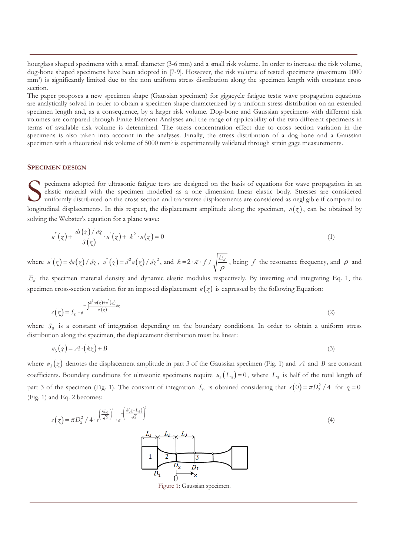hourglass shaped specimens with a small diameter (3-6 mm) and a small risk volume. In order to increase the risk volume, dog-bone shaped specimens have been adopted in [7-9]. However, the risk volume of tested specimens (maximum 1000 mm<sup>3</sup>) is significantly limited due to the non uniform stress distribution along the specimen length with constant cross section.

The paper proposes a new specimen shape (Gaussian specimen) for gigacycle fatigue tests: wave propagation equations are analytically solved in order to obtain a specimen shape characterized by a uniform stress distribution on an extended specimen length and, as a consequence, by a larger risk volume. Dog-bone and Gaussian specimens with different risk volumes are compared through Finite Element Analyses and the range of applicability of the two different specimens in terms of available risk volume is determined. The stress concentration effect due to cross section variation in the specimens is also taken into account in the analyses. Finally, the stress distribution of a dog-bone and a Gaussian specimen with a theoretical risk volume of 5000 mm<sup>3</sup> is experimentally validated through strain gage measurements.

#### **SPECIMEN DESIGN**

pecimens adopted for ultrasonic fatigue tests are designed on the basis of equations for wave propagation in an elastic material with the specimen modelled as a one dimension linear elastic body. Stresses are considered uniformly distributed on the cross section and transverse displacements are considered as negligible if compared to longitudinal displacements. In this respect, the displacement amplitude along the specimen,  $u(z)$ , can be obtained by solving the Webster's equation for a plane wave: S ela

$$
u''(z) + \frac{ds(z)/dz}{S(z)} \cdot u'(z) + k^2 \cdot u(z) = 0
$$
\n(1)

where  $u^{'}(z) = du(z)/dz$ ,  $u^{''}(z) = d^{2}u(z)/dz^{2}$ , and  $k = 2 \cdot \pi \cdot f / \sqrt{\frac{E_{d}}{\rho}}$ , being *f* the resonance frequency, and  $\rho$  and

*Ed* the specimen material density and dynamic elastic modulus respectively. By inverting and integrating Eq. 1, the specimen cross-section variation for an imposed displacement  $u(z)$  is expressed by the following Equation:

$$
s(z) = S_0 \cdot e^{-\int \frac{k^2 \cdot u(z) + u^*(z)}{u^*(z)} dz}
$$
 (2)

where  $S_0$  is a constant of integration depending on the boundary conditions. In order to obtain a uniform stress distribution along the specimen, the displacement distribution must be linear:

$$
u_3(z) = A \cdot (kz) + B \tag{3}
$$

where  $u_3(z)$  denotes the displacement amplitude in part 3 of the Gaussian specimen (Fig. 1) and *A* and *B* are constant coefficients. Boundary conditions for ultrasonic specimens require  $u_3(L_3) = 0$ , where  $L_3$  is half of the total length of part 3 of the specimen (Fig. 1). The constant of integration  $S_0$  is obtained considering that  $s(0) = \pi D_2^2 / 4$  for  $z = 0$ (Fig. 1) and Eq. 2 becomes:

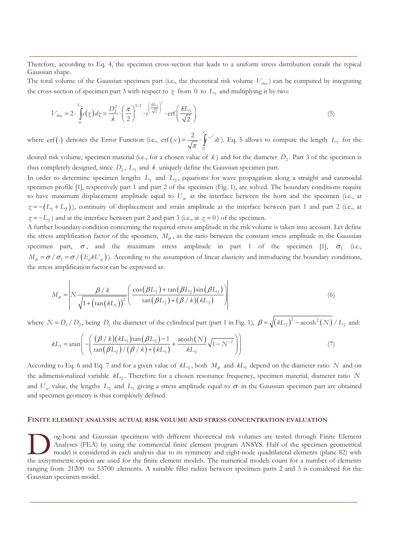Therefore, according to Eq. 4, the specimen cross-section that leads to a uniform stress distribution entails the typical Gaussian shape.

The total volume of the Gaussian specimen part (i.e., the theoretical risk volume  $V_{theo}$ ) can be computed by integrating the cross-section of specimen part 3 with respect to  $\chi$  from 0 to  $L_3$  and multiplying it by two:

$$
V_{\text{theo}} = 2 \cdot \int_{0}^{L_3} s(z) \, dz = \frac{D_2^2}{k} \cdot \left(\frac{\pi}{2}\right)^{3/2} \cdot e^{\left(\frac{kL_3}{\sqrt{2}}\right)^2} \cdot \text{erf}\left(\frac{kL_3}{\sqrt{2}}\right) \tag{5}
$$

where erf (·) denotes the Error Function (i.e.,  $erf(x) = \frac{2}{\sqrt{\epsilon}} \cdot \int_{0}^{x} e^{-t^{2}} dt$  $\theta$ erf $(x) = \frac{2}{x}$ .  $f(x) = \frac{2}{\sqrt{\pi}} \cdot \int e^{-t^2} dt$ . Eq. 5 allows to compute the length *L*<sub>3</sub> for the

desired risk volume, specimen material (i.e., for a chosen value of  $k$ ) and for the diameter  $D_2$ . Part 3 of the specimen is thus completely designed, since  $D_2$ ,  $L_3$  and  $k$  uniquely define the Gaussian specimen part.

In order to determine specimen lengths  $L_1$  and  $L_2$ , equations for wave propagation along a straight and catenoidal specimen profile [1], respectively part 1 and part 2 of the specimen (Fig. 1), are solved. The boundary conditions require to have maximum displacement amplitude equal to *Uin* at the interface between the horn and the specimen (i.e., at  $\zeta = -(L_1 + L_2)$ ), continuity of displacement and strain amplitude at the interface between part 1 and part 2 (i.e., at  $\gamma = -L_2$ ) and at the interface between part 2 and part 3 (i.e., at  $\gamma = 0$ ) of the specimen.

A further boundary condition concerning the required stress amplitude in the risk volume is taken into account. Let define the stress amplification factor of the specimen,  $M_{\sigma}$ , as the ratio between the constant stress amplitude in the Gaussian specimen part,  $\sigma$ , and the maximum stress amplitude in part 1 of the specimen [1],  $\sigma$ <sub>1</sub> (i.e.,  $M_{\sigma} = \sigma / \sigma_1 = \sigma / (E_d / kU_m)$ ). According to the assumption of linear elasticity and introducing the boundary conditions, the stress amplification factor can be expressed as:

$$
M_{\sigma} = \left| N \frac{\beta / k}{\sqrt{1 + \left(\tan(kL_1)\right)^2}} \left( \frac{\cos(\beta L_2) + \tan(\beta L_2)\sin(\beta L_2)}{\tan(\beta L_2) + (\beta / k)(kL_3)} \right) \right| \tag{6}
$$

where  $N = D_1 / D_2$ , being  $D_1$  the diameter of the cylindrical part (part 1 in Fig. 1),  $\beta = \sqrt{(kL_2)^2 - acosh^2(N) / L_2}$  and:

$$
kL_1 = \operatorname{atan}\left(-\left(\frac{(\beta/k)(kL_3)\tan(\beta L_2) - 1}{\tan(\beta L_2)/(\beta/k) + (kL_3)} + \frac{\operatorname{acosh}(N)}{kL_2}\sqrt{1 - N^{-2}}\right)\right)
$$
(7)

According to Eq. 6 and Eq. 7 and for a given value of  $kL_3$ , both  $M_\sigma$  and  $kL_1$  depend on the diameter ratio N and on the adimensionalized variable *kL*<sup>2</sup> . Therefore for a chosen resonance frequency, specimen material, diameter ratio *N* and  $U_{in}$  value, the lengths  $L_2$  and  $L_1$  giving a stress amplitude equal to  $\sigma$  in the Gaussian specimen part are obtained and specimen geometry is thus completely defined.

#### **FINITE ELEMENT ANALYSIS: ACTUAL RISK VOLUME AND STRESS CONCENTRATION EVALUATION**

og-bone and Gaussian specimens with different theoretical risk volumes are tested through Finite Element Analyses (FEA) by using the commercial finite element program ANSYS. Half of the specimen geometrical model is considered in each analysis due to its symmetry and eight-node quadrilateral elements (plane 82) with The axisymmetric option are used for the finite element program ANSYS. Half of the specimen geometrical model is considered in each analysis due to its symmetry and eight-node quadrilateral elements (plane 82) with the axi ranging from 21200 to 53700 elements. A suitable fillet radius between specimen parts 2 and 3 is considered for the Gaussian specimen model.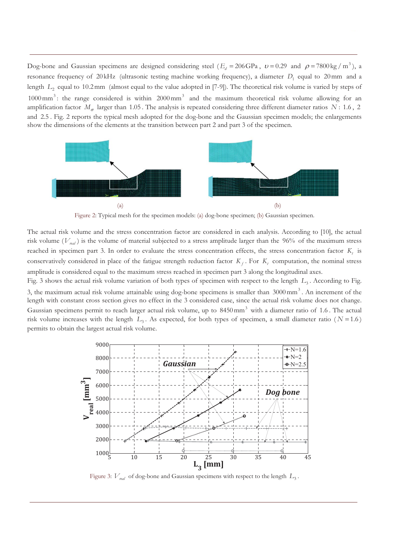Dog-bone and Gaussian specimens are designed considering steel ( $E_d = 206$ GPa,  $v = 0.29$  and  $\rho = 7800 \text{ kg / m}^3$ ), a resonance frequency of 20kHz (ultrasonic testing machine working frequency), a diameter  $D_1$  equal to 20 mm and a length  $L_2$  equal to 10.2mm (almost equal to the value adopted in [7-9]). The theoretical risk volume is varied by steps of 1000 mm<sup>3</sup>: the range considered is within 2000 mm<sup>3</sup> and the maximum theoretical risk volume allowing for an amplification factor  $M_{\sigma}$  larger than 1.05. The analysis is repeated considering three different diameter ratios  $N: 1.6$ , 2 and 2.5 . Fig. 2 reports the typical mesh adopted for the dog-bone and the Gaussian specimen models; the enlargements show the dimensions of the elements at the transition between part 2 and part 3 of the specimen.



Figure 2: Typical mesh for the specimen models: (a) dog-bone specimen; (b) Gaussian specimen.

The actual risk volume and the stress concentration factor are considered in each analysis. According to [10], the actual risk volume ( $V_{rad}$ ) is the volume of material subjected to a stress amplitude larger than the 96% of the maximum stress reached in specimen part 3. In order to evaluate the stress concentration effects, the stress concentration factor  $K_t$  is conservatively considered in place of the fatigue strength reduction factor  $K_f$ . For  $K_f$  computation, the nominal stress amplitude is considered equal to the maximum stress reached in specimen part 3 along the longitudinal axes.

Fig. 3 shows the actual risk volume variation of both types of specimen with respect to the length *L*<sub>3</sub>. According to Fig. 3, the maximum actual risk volume attainable using dog-bone specimens is smaller than  $3000$  mm<sup>3</sup>. An increment of the length with constant cross section gives no effect in the 3 considered case, since the actual risk volume does not change. Gaussian specimens permit to reach larger actual risk volume, up to  $8450\,\text{mm}^3$  with a diameter ratio of 1.6. The actual risk volume increases with the length  $L_3$ . As expected, for both types of specimen, a small diameter ratio ( $N = 1.6$ ) permits to obtain the largest actual risk volume.



Figure 3:  $V_{rad}$  of dog-bone and Gaussian specimens with respect to the length  $L_3$ .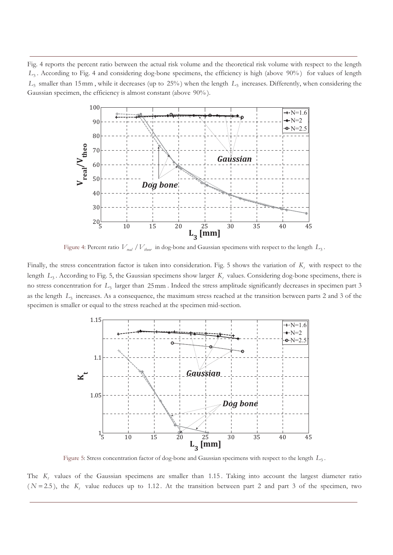Fig. 4 reports the percent ratio between the actual risk volume and the theoretical risk volume with respect to the length *L*<sup>3</sup> . According to Fig. 4 and considering dog-bone specimens, the efficiency is high (above 90% ) for values of length  $L_3$  smaller than 15mm , while it decreases (up to 25%) when the length  $L_3$  increases. Differently, when considering the Gaussian specimen, the efficiency is almost constant (above 90% ).



Figure 4: Percent ratio  $V_{\text{rad}}/V_{\text{theor}}$  in dog-bone and Gaussian specimens with respect to the length  $L_3$ .

Finally, the stress concentration factor is taken into consideration. Fig. 5 shows the variation of  $K_t$  with respect to the length  $L_3$ . According to Fig. 5, the Gaussian specimens show larger  $K_t$  values. Considering dog-bone specimens, there is no stress concentration for  $L_3$  larger than 25mm. Indeed the stress amplitude significantly decreases in specimen part 3 as the length  $L<sub>3</sub>$  increases. As a consequence, the maximum stress reached at the transition between parts 2 and 3 of the specimen is smaller or equal to the stress reached at the specimen mid-section.



Figure 5: Stress concentration factor of dog-bone and Gaussian specimens with respect to the length *L*<sup>3</sup> .

The *K*, values of the Gaussian specimens are smaller than 1.15. Taking into account the largest diameter ratio  $(N = 2.5)$ , the  $K_t$  value reduces up to 1.12. At the transition between part 2 and part 3 of the specimen, two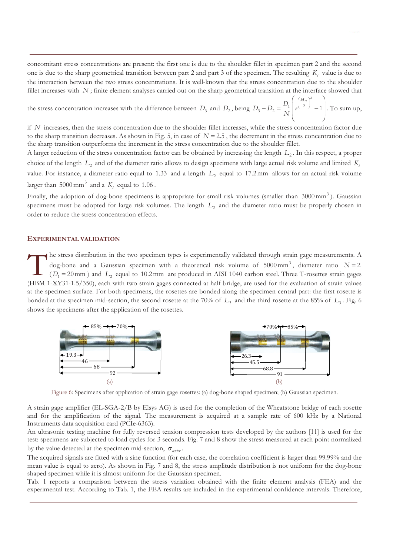concomitant stress concentrations are present: the first one is due to the shoulder fillet in specimen part 2 and the second one is due to the sharp geometrical transition between part 2 and part 3 of the specimen. The resulting  $K_t$  value is due to the interaction between the two stress concentrations. It is well-known that the stress concentration due to the shoulder fillet increases with N; finite element analyses carried out on the sharp geometrical transition at the interface showed that

the stress concentration increases with the difference between  $D_3$  and  $D_2$ , being  $D_3 - D_2 = \frac{D_1}{N} \left( e^{\left(\frac{kL_3}{2}\right)^2} - 1 \right)$  $D_3 - D_2 = \frac{D_1}{2\pi} \left( e^{\frac{kL}{2}} \right)$ *N*  $\left(\frac{kL_3}{2}\right)^2$  $-D_0 = \frac{D_1}{e^{(\frac{1}{2})}} - 1$  $\left\lfloor \frac{e^{(-2)}}{2} - 1 \right\rfloor$ . To sum up,

if *N* increases, then the stress concentration due to the shoulder fillet increases, while the stress concentration factor due to the sharp transition decreases. As shown in Fig. 5, in case of  $N = 2.5$ , the decrement in the stress concentration due to the sharp transition outperforms the increment in the stress concentration due to the shoulder fillet.

A larger reduction of the stress concentration factor can be obtained by increasing the length  $L_2$ . In this respect, a proper choice of the length  $L_2$  and of the diameter ratio allows to design specimens with large actual risk volume and limited  $K_t$ value. For instance, a diameter ratio equal to  $1.33$  and a length  $L_2$  equal to  $17.2 \,\text{mm}$  allows for an actual risk volume larger than  $5000 \text{ mm}^3$  and a  $K_t$  equal to 1.06.

Finally, the adoption of dog-bone specimens is appropriate for small risk volumes (smaller than 3000 mm<sup>3</sup>). Gaussian specimens must be adopted for large risk volumes. The length *L*<sub>2</sub> and the diameter ratio must be properly chosen in order to reduce the stress concentration effects.

#### **EXPERIMENTAL VALIDATION**

he stress distribution in the two specimen types is experimentally validated through strain gage measurements. A dog-bone and a Gaussian specimen with a theoretical risk volume of  $5000 \text{ mm}^3$ , diameter ratio  $N = 2$  $(D_1 = 20 \text{ mm})$  and  $L_2$  equal to 10.2 mm are produced in AISI 1040 carbon steel. Three T-rosettes strain gages The stress distribution in the two specimen types is experimentally validated through strain gage measurements. A dog-bone and a Gaussian specimen with a theoretical risk volume of 5000 mm<sup>3</sup>, diameter ratio  $N = 2$  ( $D_1 =$ at the specimen surface. For both specimens, the rosettes are bonded along the specimen central part: the first rosette is bonded at the specimen mid-section, the second rosette at the 70% of  $L_3$  and the third rosette at the 85% of  $L_3$ . Fig. 6 shows the specimens after the application of the rosettes.



Figure 6: Specimens after application of strain gage rosettes: (a) dog-bone shaped specimen; (b) Gaussian specimen.

A strain gage amplifier (EL-SGA-2/B by Elsys AG) is used for the completion of the Wheatstone bridge of each rosette and for the amplification of the signal. The measurement is acquired at a sample rate of 600 kHz by a National Instruments data acquisition card (PCIe-6363).

An ultrasonic testing machine for fully reversed tension compression tests developed by the authors [11] is used for the test: specimens are subjected to load cycles for 3 seconds. Fig. 7 and 8 show the stress measured at each point normalized by the value detected at the specimen mid-section,  $\sigma_{\text{center}}$ .

The acquired signals are fitted with a sine function (for each case, the correlation coefficient is larger than 99.99% and the mean value is equal to zero). As shown in Fig. 7 and 8, the stress amplitude distribution is not uniform for the dog-bone shaped specimen while it is almost uniform for the Gaussian specimen.

Tab. 1 reports a comparison between the stress variation obtained with the finite element analysis (FEA) and the experimental test. According to Tab. 1, the FEA results are included in the experimental confidence intervals. Therefore,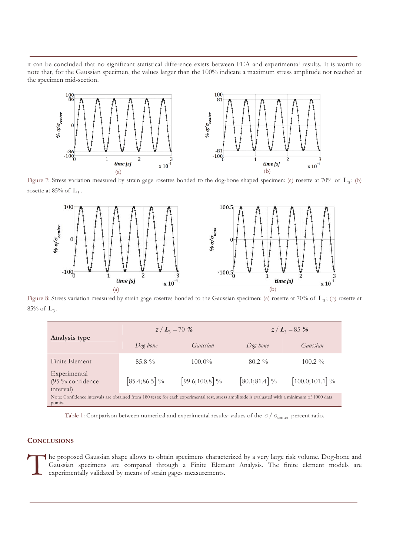it can be concluded that no significant statistical difference exists between FEA and experimental results. It is worth to note that, for the Gaussian specimen, the values larger than the 100% indicate a maximum stress amplitude not reached at the specimen mid-section.



Figure 7: Stress variation measured by strain gage rosettes bonded to the dog-bone shaped specimen: (a) rosette at 70% of  $L_3$ ; (b) rosette at 85% of  $L_3$ .



Figure 8: Stress variation measured by strain gage rosettes bonded to the Gaussian specimen: (a) rosette at 70% of  $L_3$ ; (b) rosette at 85% of  $L_3$ .

| Analysis type                                                                                                                                            | $z/L_{\rm s} = 70\%$ |                   | $z/L_{3} = 85\%$ |                   |
|----------------------------------------------------------------------------------------------------------------------------------------------------------|----------------------|-------------------|------------------|-------------------|
|                                                                                                                                                          | Dog-bone             | Gaussian          | Dog-bone         | Gaussian          |
| Finite Element                                                                                                                                           | $85.8\%$             | $100.0\%$         | $80.2\%$         | $100.2\%$         |
| Experimental<br>(95 % confidence<br>interval)                                                                                                            | $[85.4; 86.5]$ %     | [99.6;100.8] $\%$ | $[80.1; 81.4]$ % | $[100.0;101.1]$ % |
| Note: Confidence intervals are obtained from 180 tests; for each experimental test, stress amplitude is evaluated with a minimum of 1000 data<br>points. |                      |                   |                  |                   |

Table 1: Comparison between numerical and experimental results: values of the  $\sigma / \sigma_{center}$  percent ratio.

## **CONCLUSIONS**

he proposed Gaussian shape allows to obtain specimens characterized by a very large risk volume. Dog-bone and Gaussian specimens are compared through a Finite Element Analysis. The finite element models are experimentally validated by means of strain gages measurements.